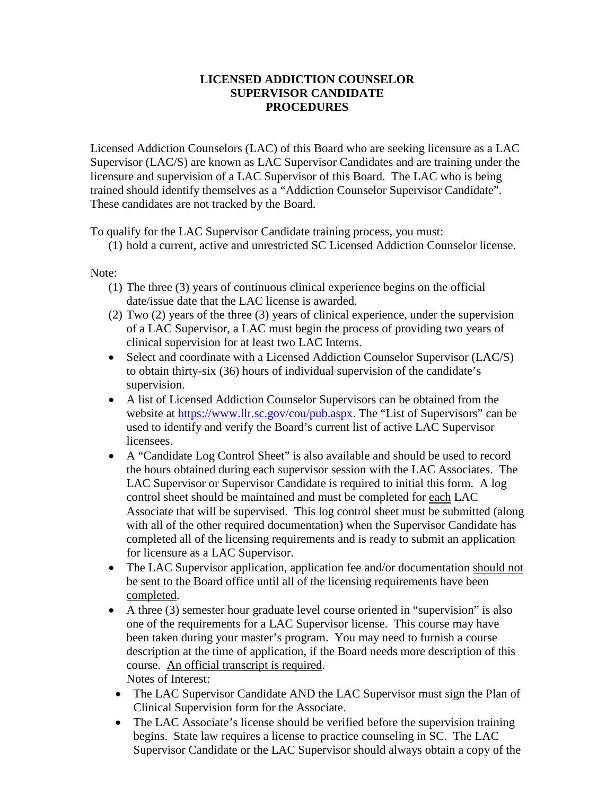## **LICENSED ADDICTION COUNSELOR SUPERVISOR CANDIDATE PROCEDURES**

Licensed Addiction Counselors (LAC) of this Board who are seeking licensure as a LAC Supervisor (LAC/S) are known as LAC Supervisor Candidates and are training under the licensure and supervision of a LAC Supervisor of this Board. The LAC who is being trained should identify themselves as a "Addiction Counselor Supervisor Candidate". These candidates are not tracked by the Board.

To qualify for the LAC Supervisor Candidate training process, you must:

(1) hold a current, active and unrestricted SC Licensed Addiction Counselor license.

Note:

- (1) The three (3) years of continuous clinical experience begins on the official date/issue date that the LAC license is awarded.
- (2) Two (2) years of the three (3) years of clinical experience, under the supervision of a LAC Supervisor, a LAC must begin the process of providing two years of clinical supervision for at least two LAC Interns.
- Select and coordinate with a Licensed Addiction Counselor Supervisor (LAC/S) to obtain thirty-six (36) hours of individual supervision of the candidate's supervision.
- A list of Licensed Addiction Counselor Supervisors can be obtained from the website at [https://www.llr.sc.gov/cou/pub.aspx.](https://www.llr.sc.gov/cou/pub.aspx) The "List of Supervisors" can be used to identify and verify the Board's current list of active LAC Supervisor licensees.
- A "Candidate Log Control Sheet" is also available and should be used to record the hours obtained during each supervisor session with the LAC Associates. The LAC Supervisor or Supervisor Candidate is required to initial this form. A log control sheet should be maintained and must be completed for each LAC Associate that will be supervised. This log control sheet must be submitted (along with all of the other required documentation) when the Supervisor Candidate has completed all of the licensing requirements and is ready to submit an application for licensure as a LAC Supervisor.
- The LAC Supervisor application, application fee and/or documentation should not be sent to the Board office until all of the licensing requirements have been completed.
- A three (3) semester hour graduate level course oriented in "supervision" is also one of the requirements for a LAC Supervisor license. This course may have been taken during your master's program. You may need to furnish a course description at the time of application, if the Board needs more description of this course. An official transcript is required. Notes of Interest:
- The LAC Supervisor Candidate AND the LAC Supervisor must sign the Plan of Clinical Supervision form for the Associate.
- The LAC Associate's license should be verified before the supervision training begins. State law requires a license to practice counseling in SC. The LAC Supervisor Candidate or the LAC Supervisor should always obtain a copy of the